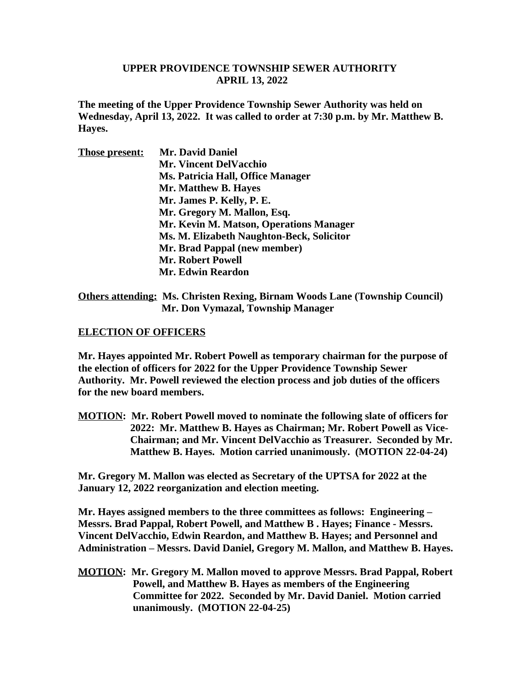## **UPPER PROVIDENCE TOWNSHIP SEWER AUTHORITY APRIL 13, 2022**

**The meeting of the Upper Providence Township Sewer Authority was held on Wednesday, April 13, 2022. It was called to order at 7:30 p.m. by Mr. Matthew B. Hayes.** 

| <b>Those present:</b> | <b>Mr. David Daniel</b>                   |
|-----------------------|-------------------------------------------|
|                       | <b>Mr. Vincent DelVacchio</b>             |
|                       | Ms. Patricia Hall, Office Manager         |
|                       | Mr. Matthew B. Hayes                      |
|                       | Mr. James P. Kelly, P. E.                 |
|                       | Mr. Gregory M. Mallon, Esq.               |
|                       | Mr. Kevin M. Matson, Operations Manager   |
|                       | Ms. M. Elizabeth Naughton-Beck, Solicitor |
|                       | Mr. Brad Pappal (new member)              |
|                       | <b>Mr. Robert Powell</b>                  |
|                       | <b>Mr. Edwin Reardon</b>                  |
|                       |                                           |

**Others attending: Ms. Christen Rexing, Birnam Woods Lane (Township Council) Mr. Don Vymazal, Township Manager**

## **ELECTION OF OFFICERS**

**Mr. Hayes appointed Mr. Robert Powell as temporary chairman for the purpose of the election of officers for 2022 for the Upper Providence Township Sewer Authority. Mr. Powell reviewed the election process and job duties of the officers for the new board members.**

**MOTION: Mr. Robert Powell moved to nominate the following slate of officers for 2022: Mr. Matthew B. Hayes as Chairman; Mr. Robert Powell as Vice- Chairman; and Mr. Vincent DelVacchio as Treasurer. Seconded by Mr. Matthew B. Hayes. Motion carried unanimously. (MOTION 22-04-24)**

**Mr. Gregory M. Mallon was elected as Secretary of the UPTSA for 2022 at the January 12, 2022 reorganization and election meeting.**

**Mr. Hayes assigned members to the three committees as follows: Engineering – Messrs. Brad Pappal, Robert Powell, and Matthew B . Hayes; Finance - Messrs. Vincent DelVacchio, Edwin Reardon, and Matthew B. Hayes; and Personnel and Administration – Messrs. David Daniel, Gregory M. Mallon, and Matthew B. Hayes.**

**MOTION: Mr. Gregory M. Mallon moved to approve Messrs. Brad Pappal, Robert Powell, and Matthew B. Hayes as members of the Engineering Committee for 2022. Seconded by Mr. David Daniel. Motion carried unanimously. (MOTION 22-04-25)**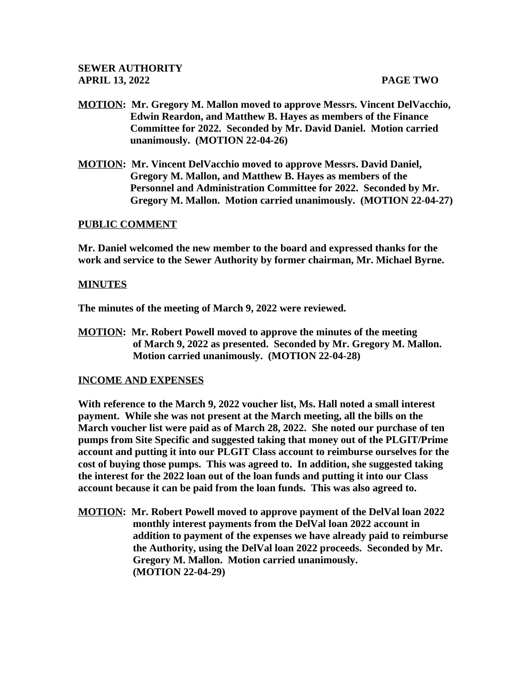- **MOTION: Mr. Gregory M. Mallon moved to approve Messrs. Vincent DelVacchio, Edwin Reardon, and Matthew B. Hayes as members of the Finance Committee for 2022. Seconded by Mr. David Daniel. Motion carried unanimously. (MOTION 22-04-26)**
- **MOTION: Mr. Vincent DelVacchio moved to approve Messrs. David Daniel, Gregory M. Mallon, and Matthew B. Hayes as members of the Personnel and Administration Committee for 2022. Seconded by Mr. Gregory M. Mallon. Motion carried unanimously. (MOTION 22-04-27)**

# **PUBLIC COMMENT**

**Mr. Daniel welcomed the new member to the board and expressed thanks for the work and service to the Sewer Authority by former chairman, Mr. Michael Byrne.**

# **MINUTES**

**The minutes of the meeting of March 9, 2022 were reviewed.** 

**MOTION: Mr. Robert Powell moved to approve the minutes of the meeting of March 9, 2022 as presented. Seconded by Mr. Gregory M. Mallon. Motion carried unanimously. (MOTION 22-04-28)**

## **INCOME AND EXPENSES**

**With reference to the March 9, 2022 voucher list, Ms. Hall noted a small interest payment. While she was not present at the March meeting, all the bills on the March voucher list were paid as of March 28, 2022. She noted our purchase of ten pumps from Site Specific and suggested taking that money out of the PLGIT/Prime account and putting it into our PLGIT Class account to reimburse ourselves for the cost of buying those pumps. This was agreed to. In addition, she suggested taking the interest for the 2022 loan out of the loan funds and putting it into our Class account because it can be paid from the loan funds. This was also agreed to.** 

**MOTION: Mr. Robert Powell moved to approve payment of the DelVal loan 2022 monthly interest payments from the DelVal loan 2022 account in addition to payment of the expenses we have already paid to reimburse the Authority, using the DelVal loan 2022 proceeds. Seconded by Mr. Gregory M. Mallon. Motion carried unanimously. (MOTION 22-04-29)**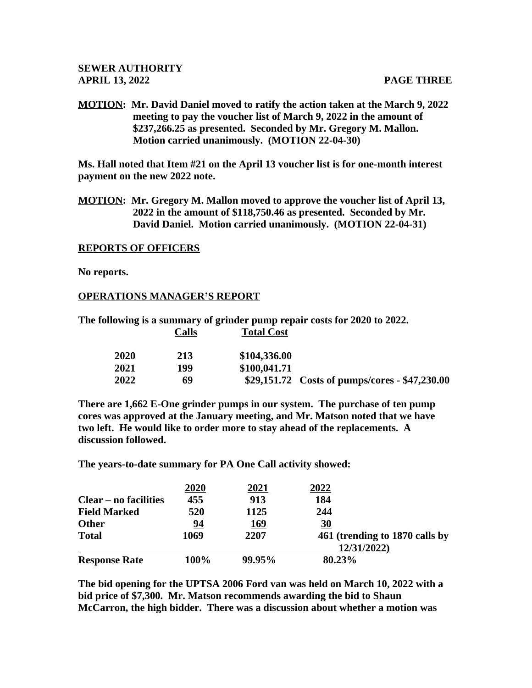**MOTION: Mr. David Daniel moved to ratify the action taken at the March 9, 2022 meeting to pay the voucher list of March 9, 2022 in the amount of \$237,266.25 as presented. Seconded by Mr. Gregory M. Mallon. Motion carried unanimously. (MOTION 22-04-30)**

**Ms. Hall noted that Item #21 on the April 13 voucher list is for one-month interest payment on the new 2022 note.**

**MOTION: Mr. Gregory M. Mallon moved to approve the voucher list of April 13, 2022 in the amount of \$118,750.46 as presented. Seconded by Mr. David Daniel. Motion carried unanimously. (MOTION 22-04-31)**

## **REPORTS OF OFFICERS**

**No reports.**

## **OPERATIONS MANAGER'S REPORT**

**The following is a summary of grinder pump repair costs for 2020 to 2022. Calls Total Cost**

|                                                 | \$104,336.00 | 213 | 2020        |  |
|-------------------------------------------------|--------------|-----|-------------|--|
|                                                 | \$100,041.71 | 199 | <b>2021</b> |  |
| $$29,151.72$ Costs of pumps/cores - \$47,230.00 |              | 69  | 2022        |  |

**There are 1,662 E-One grinder pumps in our system. The purchase of ten pump cores was approved at the January meeting, and Mr. Matson noted that we have two left. He would like to order more to stay ahead of the replacements. A discussion followed.**

**The years-to-date summary for PA One Call activity showed:**

|                       | 2020 | <u>2021</u> | 2022                           |
|-----------------------|------|-------------|--------------------------------|
| Clear – no facilities | 455  | 913         | 184                            |
| <b>Field Marked</b>   | 520  | 1125        | 244                            |
| <b>Other</b>          | 94   | <u>169</u>  | <u>30</u>                      |
| <b>Total</b>          | 1069 | 2207        | 461 (trending to 1870 calls by |
|                       |      |             | 12/31/2022)                    |
| <b>Response Rate</b>  | 100% | 99.95%      | 80.23%                         |

**The bid opening for the UPTSA 2006 Ford van was held on March 10, 2022 with a bid price of \$7,300. Mr. Matson recommends awarding the bid to Shaun McCarron, the high bidder. There was a discussion about whether a motion was**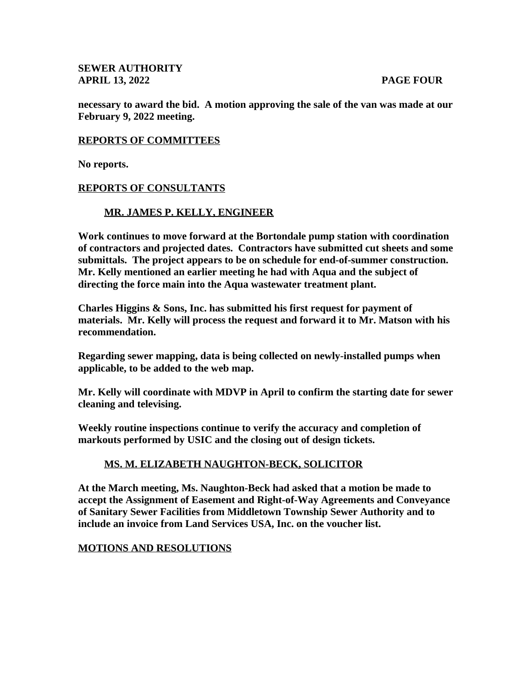**SEWER AUTHORITY APRIL 13, 2022 PAGE FOUR**

**necessary to award the bid. A motion approving the sale of the van was made at our February 9, 2022 meeting.** 

### **REPORTS OF COMMITTEES**

**No reports.**

### **REPORTS OF CONSULTANTS**

### **MR. JAMES P. KELLY, ENGINEER**

**Work continues to move forward at the Bortondale pump station with coordination of contractors and projected dates. Contractors have submitted cut sheets and some submittals. The project appears to be on schedule for end-of-summer construction. Mr. Kelly mentioned an earlier meeting he had with Aqua and the subject of directing the force main into the Aqua wastewater treatment plant.**

**Charles Higgins & Sons, Inc. has submitted his first request for payment of materials. Mr. Kelly will process the request and forward it to Mr. Matson with his recommendation.**

**Regarding sewer mapping, data is being collected on newly-installed pumps when applicable, to be added to the web map.**

**Mr. Kelly will coordinate with MDVP in April to confirm the starting date for sewer cleaning and televising.**

**Weekly routine inspections continue to verify the accuracy and completion of markouts performed by USIC and the closing out of design tickets.**

## **MS. M. ELIZABETH NAUGHTON-BECK, SOLICITOR**

**At the March meeting, Ms. Naughton-Beck had asked that a motion be made to accept the Assignment of Easement and Right-of-Way Agreements and Conveyance of Sanitary Sewer Facilities from Middletown Township Sewer Authority and to include an invoice from Land Services USA, Inc. on the voucher list.**

#### **MOTIONS AND RESOLUTIONS**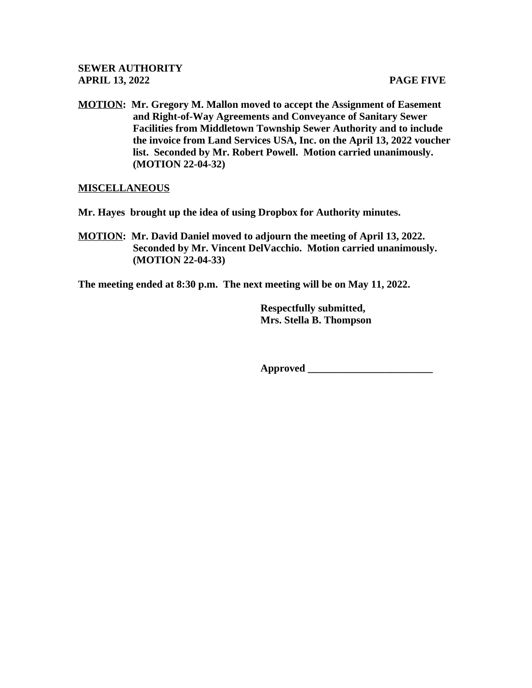**MOTION: Mr. Gregory M. Mallon moved to accept the Assignment of Easement and Right-of-Way Agreements and Conveyance of Sanitary Sewer Facilities from Middletown Township Sewer Authority and to include the invoice from Land Services USA, Inc. on the April 13, 2022 voucher list. Seconded by Mr. Robert Powell. Motion carried unanimously. (MOTION 22-04-32)**

# **MISCELLANEOUS**

**Mr. Hayes brought up the idea of using Dropbox for Authority minutes.**

**MOTION: Mr. David Daniel moved to adjourn the meeting of April 13, 2022. Seconded by Mr. Vincent DelVacchio. Motion carried unanimously. (MOTION 22-04-33)**

**The meeting ended at 8:30 p.m. The next meeting will be on May 11, 2022.**

 **Respectfully submitted, Mrs. Stella B. Thompson**

 **Approved \_\_\_\_\_\_\_\_\_\_\_\_\_\_\_\_\_\_\_\_\_\_\_\_**